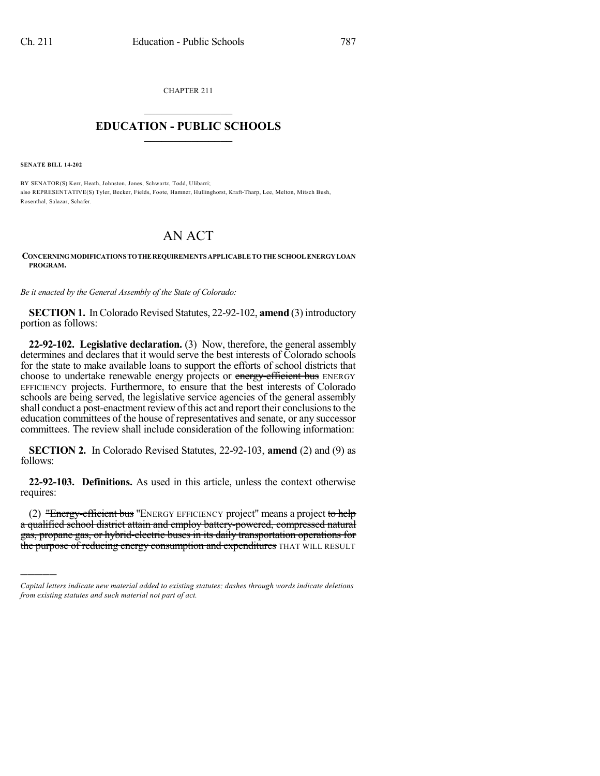CHAPTER 211  $\mathcal{L}_\text{max}$  . The set of the set of the set of the set of the set of the set of the set of the set of the set of the set of the set of the set of the set of the set of the set of the set of the set of the set of the set

## **EDUCATION - PUBLIC SCHOOLS**  $\_$   $\_$   $\_$   $\_$   $\_$   $\_$   $\_$   $\_$   $\_$

**SENATE BILL 14-202**

)))))

BY SENATOR(S) Kerr, Heath, Johnston, Jones, Schwartz, Todd, Ulibarri; also REPRESENTATIVE(S) Tyler, Becker, Fields, Foote, Hamner, Hullinghorst, Kraft-Tharp, Lee, Melton, Mitsch Bush, Rosenthal, Salazar, Schafer.

## AN ACT

## **CONCERNINGMODIFICATIONS TOTHEREQUIREMENTS APPLICABLETOTHESCHOOLENERGYLOAN PROGRAM.**

*Be it enacted by the General Assembly of the State of Colorado:*

**SECTION 1.** In Colorado Revised Statutes, 22-92-102, **amend** (3) introductory portion as follows:

**22-92-102. Legislative declaration.** (3) Now, therefore, the general assembly determines and declares that it would serve the best interests of Colorado schools for the state to make available loans to support the efforts of school districts that choose to undertake renewable energy projects or energy-efficient bus ENERGY EFFICIENCY projects. Furthermore, to ensure that the best interests of Colorado schools are being served, the legislative service agencies of the general assembly shall conduct a post-enactment review of this act and report their conclusions to the education committees of the house of representatives and senate, or any successor committees. The review shall include consideration of the following information:

**SECTION 2.** In Colorado Revised Statutes, 22-92-103, **amend** (2) and (9) as follows:

**22-92-103. Definitions.** As used in this article, unless the context otherwise requires:

(2) "Energy-efficient bus "ENERGY EFFICIENCY project" means a project to help a qualified school district attain and employ battery-powered, compressed natural gas, propane gas, or hybrid-electric buses in its daily transportation operations for the purpose of reducing energy consumption and expenditures THAT WILL RESULT

*Capital letters indicate new material added to existing statutes; dashes through words indicate deletions from existing statutes and such material not part of act.*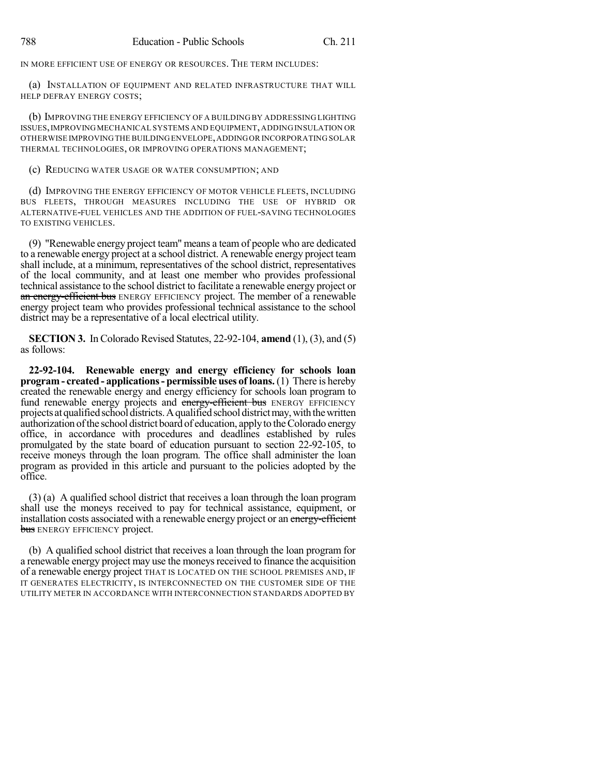IN MORE EFFICIENT USE OF ENERGY OR RESOURCES. THE TERM INCLUDES:

(a) INSTALLATION OF EQUIPMENT AND RELATED INFRASTRUCTURE THAT WILL HELP DEFRAY ENERGY COSTS;

(b) IMPROVING THE ENERGY EFFICIENCY OF A BUILDING BY ADDRESSING LIGHTING ISSUES,IMPROVINGMECHANICAL SYSTEMS AND EQUIPMENT,ADDING INSULATION OR OTHERWISE IMPROVINGTHE BUILDINGENVELOPE,ADDINGOR INCORPORATING SOLAR THERMAL TECHNOLOGIES, OR IMPROVING OPERATIONS MANAGEMENT;

(c) REDUCING WATER USAGE OR WATER CONSUMPTION; AND

(d) IMPROVING THE ENERGY EFFICIENCY OF MOTOR VEHICLE FLEETS, INCLUDING BUS FLEETS, THROUGH MEASURES INCLUDING THE USE OF HYBRID OR ALTERNATIVE-FUEL VEHICLES AND THE ADDITION OF FUEL-SAVING TECHNOLOGIES TO EXISTING VEHICLES.

(9) "Renewable energy project team" means a team of people who are dedicated to a renewable energy project at a school district. A renewable energy project team shall include, at a minimum, representatives of the school district, representatives of the local community, and at least one member who provides professional technical assistance to the school district to facilitate a renewable energy project or an energy-efficient bus ENERGY EFFICIENCY project. The member of a renewable energy project team who provides professional technical assistance to the school district may be a representative of a local electrical utility.

**SECTION 3.** In Colorado Revised Statutes, 22-92-104, **amend** (1), (3), and (5) as follows:

**22-92-104. Renewable energy and energy efficiency for schools loan program - created - applications- permissible uses of loans.** (1) There is hereby created the renewable energy and energy efficiency for schools loan program to fund renewable energy projects and energy-efficient bus ENERGY EFFICIENCY projects at qualifiedschool districts.Aqualifiedschool districtmay,withthewritten authorization of the school district board of education, apply to the Colorado energy office, in accordance with procedures and deadlines established by rules promulgated by the state board of education pursuant to section 22-92-105, to receive moneys through the loan program. The office shall administer the loan program as provided in this article and pursuant to the policies adopted by the office.

(3) (a) A qualified school district that receives a loan through the loan program shall use the moneys received to pay for technical assistance, equipment, or installation costs associated with a renewable energy project or an energy-efficient **bus** ENERGY EFFICIENCY project.

(b) A qualified school district that receives a loan through the loan program for a renewable energy project may use the moneys received to finance the acquisition of a renewable energy project THAT IS LOCATED ON THE SCHOOL PREMISES AND, IF IT GENERATES ELECTRICITY, IS INTERCONNECTED ON THE CUSTOMER SIDE OF THE UTILITY METER IN ACCORDANCE WITH INTERCONNECTION STANDARDS ADOPTED BY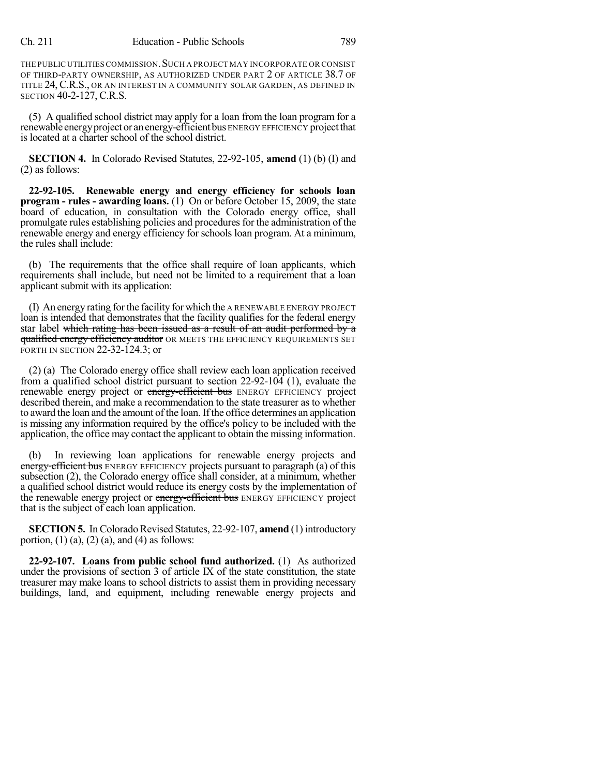THE PUBLIC UTILITIES COMMISSION. SUCH A PROJECT MAY INCORPORATE OR CONSIST OF THIRD-PARTY OWNERSHIP, AS AUTHORIZED UNDER PART 2 OF ARTICLE 38.7 OF TITLE 24,C.R.S., OR AN INTEREST IN A COMMUNITY SOLAR GARDEN, AS DEFINED IN SECTION 40-2-127, C.R.S.

(5) A qualified school district may apply for a loan from the loan program for a renewable energy project or an energy-efficient bus ENERGY EFFICIENCY project that is located at a charter school of the school district.

**SECTION 4.** In Colorado Revised Statutes, 22-92-105, **amend** (1) (b) (I) and (2) as follows:

**22-92-105. Renewable energy and energy efficiency for schools loan program - rules - awarding loans.** (1) On or before October 15, 2009, the state board of education, in consultation with the Colorado energy office, shall promulgate rules establishing policies and procedures for the administration of the renewable energy and energy efficiency for schools loan program. At a minimum, the rules shall include:

(b) The requirements that the office shall require of loan applicants, which requirements shall include, but need not be limited to a requirement that a loan applicant submit with its application:

(I) An energy rating for the facility for which the A RENEWABLE ENERGY PROJECT loan is intended that demonstrates that the facility qualifies for the federal energy star label which rating has been issued as a result of an audit performed by a qualified energy efficiency auditor OR MEETS THE EFFICIENCY REQUIREMENTS SET FORTH IN SECTION 22-32-124.3; or

(2) (a) The Colorado energy office shall review each loan application received from a qualified school district pursuant to section  $22-92-104$  (1), evaluate the renewable energy project or energy-efficient bus ENERGY EFFICIENCY project described therein, and make a recommendation to the state treasurer as to whether to award the loan and the amount of the loan. Ifthe office determines an application is missing any information required by the office's policy to be included with the application, the office may contact the applicant to obtain the missing information.

(b) In reviewing loan applications for renewable energy projects and energy-efficient bus ENERGY EFFICIENCY projects pursuant to paragraph (a) of this subsection (2), the Colorado energy office shall consider, at a minimum, whether a qualified school district would reduce its energy costs by the implementation of the renewable energy project or energy-efficient bus ENERGY EFFICIENCY project that is the subject of each loan application.

**SECTION 5.** In Colorado Revised Statutes, 22-92-107, **amend** (1) introductory portion,  $(1)$   $(a)$ ,  $(2)$   $(a)$ , and  $(4)$  as follows:

**22-92-107. Loans from public school fund authorized.** (1) As authorized under the provisions of section 3 of article IX of the state constitution, the state treasurer may make loans to school districts to assist them in providing necessary buildings, land, and equipment, including renewable energy projects and